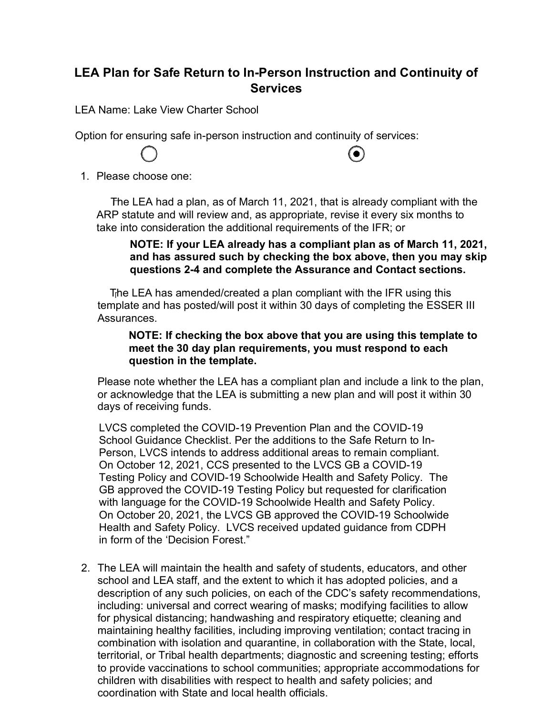## **LEA Plan for Safe Return to In-Person Instruction and Continuity of Services**

LEA Name: Lake View Charter School

Option for ensuring safe in-person instruction and continuity of services:



## $\bullet$

1. Please choose one:

☐ The LEA had a plan, as of March 11, 2021, that is already compliant with the ARP statute and will review and, as appropriate, revise it every six months to take into consideration the additional requirements of the IFR; or

## **NOTE: If your LEA already has a compliant plan as of March 11, 2021, and has assured such by checking the box above, then you may skip questions 2-4 and complete the Assurance and Contact sections.**

☐ The LEA has amended/created a plan compliant with the IFR using this template and has posted/will post it within 30 days of completing the ESSER III Assurances.

## **NOTE: If checking the box above that you are using this template to meet the 30 day plan requirements, you must respond to each question in the template.**

Please note whether the LEA has a compliant plan and include a link to the plan, or acknowledge that the LEA is submitting a new plan and will post it within 30 days of receiving funds.

LVCS completed the COVID-19 Prevention Plan and the COVID-19 School Guidance Checklist. Per the additions to the Safe Return to In-Person, LVCS intends to address additional areas to remain compliant. On October 12, 2021, CCS presented to the LVCS GB a COVID-19 Testing Policy and COVID-19 Schoolwide Health and Safety Policy. The GB approved the COVID-19 Testing Policy but requested for clarification with language for the COVID-19 Schoolwide Health and Safety Policy. On October 20, 2021, the LVCS GB approved the COVID-19 Schoolwide Health and Safety Policy. LVCS received updated guidance from CDPH in form of the 'Decision Forest."

2. The LEA will maintain the health and safety of students, educators, and other school and LEA staff, and the extent to which it has adopted policies, and a description of any such policies, on each of the CDC's safety recommendations, including: universal and correct wearing of masks; modifying facilities to allow for physical distancing; handwashing and respiratory etiquette; cleaning and maintaining healthy facilities, including improving ventilation; contact tracing in combination with isolation and quarantine, in collaboration with the State, local, territorial, or Tribal health departments; diagnostic and screening testing; efforts to provide vaccinations to school communities; appropriate accommodations for children with disabilities with respect to health and safety policies; and coordination with State and local health officials.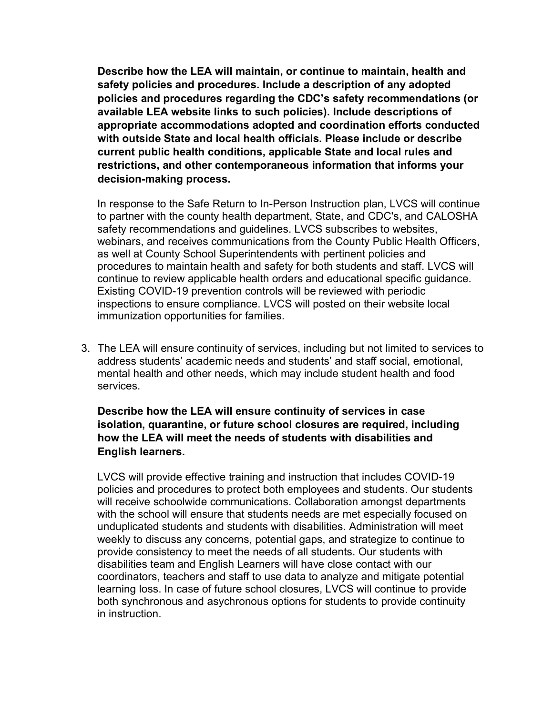**Describe how the LEA will maintain, or continue to maintain, health and safety policies and procedures. Include a description of any adopted policies and procedures regarding the CDC's safety recommendations (or available LEA website links to such policies). Include descriptions of appropriate accommodations adopted and coordination efforts conducted with outside State and local health officials. Please include or describe current public health conditions, applicable State and local rules and restrictions, and other contemporaneous information that informs your decision-making process.**

In response to the Safe Return to In-Person Instruction plan, LVCS will continue to partner with the county health department, State, and CDC's, and CALOSHA safety recommendations and guidelines. LVCS subscribes to websites, webinars, and receives communications from the County Public Health Officers, as well at County School Superintendents with pertinent policies and procedures to maintain health and safety for both students and staff. LVCS will continue to review applicable health orders and educational specific guidance. Existing COVID-19 prevention controls will be reviewed with periodic inspections to ensure compliance. LVCS will posted on their website local immunization opportunities for families.

3. The LEA will ensure continuity of services, including but not limited to services to address students' academic needs and students' and staff social, emotional, mental health and other needs, which may include student health and food services.

**Describe how the LEA will ensure continuity of services in case isolation, quarantine, or future school closures are required, including how the LEA will meet the needs of students with disabilities and English learners.**

LVCS will provide effective training and instruction that includes COVID-19 policies and procedures to protect both employees and students. Our students will receive schoolwide communications. Collaboration amongst departments with the school will ensure that students needs are met especially focused on unduplicated students and students with disabilities. Administration will meet weekly to discuss any concerns, potential gaps, and strategize to continue to provide consistency to meet the needs of all students. Our students with disabilities team and English Learners will have close contact with our coordinators, teachers and staff to use data to analyze and mitigate potential learning loss. In case of future school closures, LVCS will continue to provide both synchronous and asychronous options for students to provide continuity in instruction.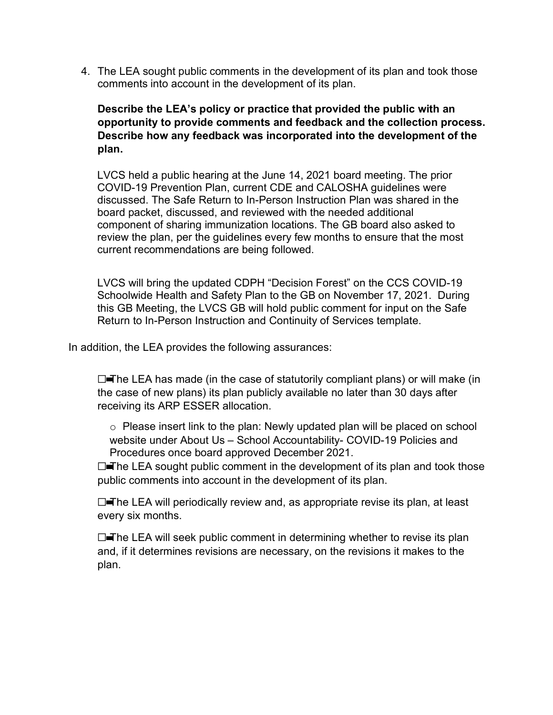4. The LEA sought public comments in the development of its plan and took those comments into account in the development of its plan.

**Describe the LEA's policy or practice that provided the public with an opportunity to provide comments and feedback and the collection process. Describe how any feedback was incorporated into the development of the plan.**

LVCS held a public hearing at the June 14, 2021 board meeting. The prior COVID-19 Prevention Plan, current CDE and CALOSHA guidelines were discussed. The Safe Return to In-Person Instruction Plan was shared in the board packet, discussed, and reviewed with the needed additional component of sharing immunization locations. The GB board also asked to review the plan, per the guidelines every few months to ensure that the most current recommendations are being followed.

LVCS will bring the updated CDPH "Decision Forest" on the CCS COVID-19 Schoolwide Health and Safety Plan to the GB on November 17, 2021. During this GB Meeting, the LVCS GB will hold public comment for input on the Safe Return to In-Person Instruction and Continuity of Services template.

In addition, the LEA provides the following assurances:

 $\Box$ The LEA has made (in the case of statutorily compliant plans) or will make (in the case of new plans) its plan publicly available no later than 30 days after receiving its ARP ESSER allocation.

o Please insert link to the plan: Newly updated plan will be placed on school website under About Us – School Accountability- COVID-19 Policies and Procedures once board approved December 2021.

□ The LEA sought public comment in the development of its plan and took those public comments into account in the development of its plan.

□ The LEA will periodically review and, as appropriate revise its plan, at least every six months.

 $\Box$ The LEA will seek public comment in determining whether to revise its plan and, if it determines revisions are necessary, on the revisions it makes to the plan.